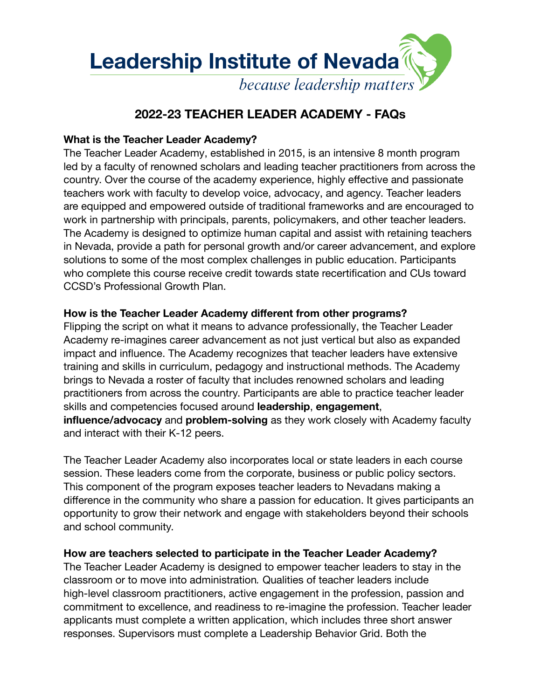

# **2022-23 TEACHER LEADER ACADEMY - FAQs**

# **What is the Teacher Leader Academy?**

The Teacher Leader Academy, established in 2015, is an intensive 8 month program led by a faculty of renowned scholars and leading teacher practitioners from across the country. Over the course of the academy experience, highly effective and passionate teachers work with faculty to develop voice, advocacy, and agency. Teacher leaders are equipped and empowered outside of traditional frameworks and are encouraged to work in partnership with principals, parents, policymakers, and other teacher leaders. The Academy is designed to optimize human capital and assist with retaining teachers in Nevada, provide a path for personal growth and/or career advancement, and explore solutions to some of the most complex challenges in public education. Participants who complete this course receive credit towards state recertification and CUs toward CCSD's Professional Growth Plan.

# **How is the Teacher Leader Academy different from other programs?**

Flipping the script on what it means to advance professionally, the Teacher Leader Academy re-imagines career advancement as not just vertical but also as expanded impact and influence. The Academy recognizes that teacher leaders have extensive training and skills in curriculum, pedagogy and instructional methods. The Academy brings to Nevada a roster of faculty that includes renowned scholars and leading practitioners from across the country. Participants are able to practice teacher leader skills and competencies focused around **leadership**, **engagement**, **influence/advocacy** and **problem-solving** as they work closely with Academy faculty and interact with their K-12 peers.

The Teacher Leader Academy also incorporates local or state leaders in each course session. These leaders come from the corporate, business or public policy sectors. This component of the program exposes teacher leaders to Nevadans making a difference in the community who share a passion for education. It gives participants an opportunity to grow their network and engage with stakeholders beyond their schools and school community.

# **How are teachers selected to participate in the Teacher Leader Academy?**

The Teacher Leader Academy is designed to empower teacher leaders to stay in the classroom or to move into administration*.* Qualities of teacher leaders include high-level classroom practitioners, active engagement in the profession, passion and commitment to excellence, and readiness to re-imagine the profession. Teacher leader applicants must complete a written application, which includes three short answer responses. Supervisors must complete a Leadership Behavior Grid. Both the